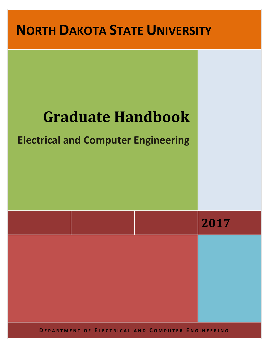

**D EPARTMENT OF E LECTRICAL AND C OMPUTER E NGINEERING**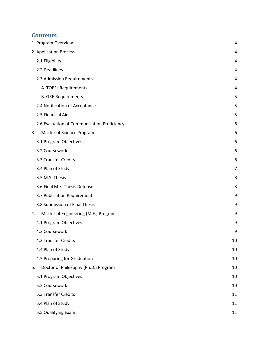# **Contents**

| 1. Program Overview             |                                             | 4  |
|---------------------------------|---------------------------------------------|----|
| 2. Application Process          |                                             | 4  |
| 2.1 Eligibility                 |                                             | 4  |
| 2.2 Deadlines                   |                                             | 4  |
| 2.3 Admission Requirements      |                                             | 4  |
| A. TOEFL Requirements           |                                             | 4  |
| <b>B. GRE Requirements</b>      |                                             | 5  |
| 2.4 Notification of Acceptance  |                                             | 5  |
| 2.5 Financial Aid               |                                             | 5  |
|                                 | 2.6 Evaluation of Communication Proficiency | 6  |
| 3.<br>Master of Science Program |                                             | 6  |
| 3.1 Program Objectives          |                                             | 6  |
| 3.2 Coursework                  |                                             | 6  |
| 3.3 Transfer Credits            |                                             | 6  |
| 3.4 Plan of Study               |                                             | 7  |
| 3.5 M.S. Thesis                 |                                             | 8  |
| 3.6 Final M.S. Thesis Defense   |                                             | 8  |
| 3.7 Publication Requirement     |                                             | 9  |
| 3.8 Submission of Final Thesis  |                                             | 9  |
| 4.                              | Master of Engineering (M.E.) Program        | 9  |
| 4.1 Program Objectives          |                                             | 9  |
| 4.2 Coursework                  |                                             | 9  |
| 4.3 Transfer Credits            |                                             | 10 |
| 4.4 Plan of Study               |                                             | 10 |
| 4.5 Preparing for Graduation    |                                             | 10 |
| 5.                              | Doctor of Philosophy (Ph.D.) Program        | 10 |
| 5.1 Program Objectives          |                                             | 10 |
| 5.2 Coursework                  |                                             | 10 |
| 5.3 Transfer Credits            |                                             | 11 |
| 5.4 Plan of Study               |                                             | 11 |
| 5.5 Qualifying Exam             |                                             | 11 |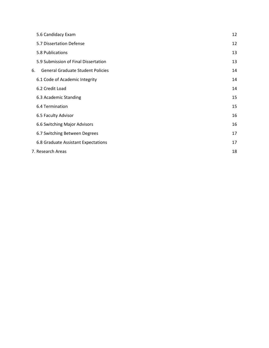|    | 5.6 Candidacy Exam                       | 12 |
|----|------------------------------------------|----|
|    | 5.7 Dissertation Defense                 | 12 |
|    | 5.8 Publications                         | 13 |
|    | 5.9 Submission of Final Dissertation     | 13 |
| 6. | <b>General Graduate Student Policies</b> | 14 |
|    | 6.1 Code of Academic Integrity           | 14 |
|    | 6.2 Credit Load                          | 14 |
|    | 6.3 Academic Standing                    | 15 |
|    | 6.4 Termination                          | 15 |
|    | 6.5 Faculty Advisor                      | 16 |
|    | 6.6 Switching Major Advisors             | 16 |
|    | 6.7 Switching Between Degrees            | 17 |
|    | 6.8 Graduate Assistant Expectations      | 17 |
|    | 7. Research Areas                        | 18 |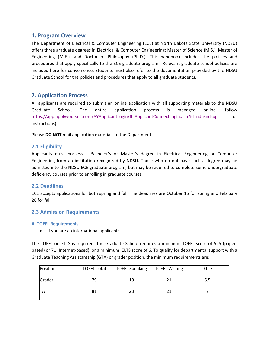## <span id="page-3-0"></span>**1. Program Overview**

The Department of Electrical & Computer Engineering (ECE) at North Dakota State University (NDSU) offers three graduate degrees in Electrical & Computer Engineering: Master of Science (M.S.), Master of Engineering (M.E.), and Doctor of Philosophy (Ph.D.). This handbook includes the policies and procedures that apply specifically to the ECE graduate program. Relevant graduate school policies are included here for convenience. Students must also refer to the documentation provided by the NDSU Graduate School for the policies and procedures that apply to all graduate students.

## <span id="page-3-1"></span>**2. Application Process**

All applicants are required to submit an online application with all supporting materials to the NDSU Graduate School. The entire application process is managed online (follow [https://app.applyyourself.com/AYApplicantLogin/fl\\_ApplicantConnectLogin.asp?id=ndusndsugr](https://app.applyyourself.com/AYApplicantLogin/fl_ApplicantConnectLogin.asp?id=ndusndsugr) for instructions).

Please **DO NOT** mail application materials to the Department.

## <span id="page-3-2"></span>**2.1 Eligibility**

Applicants must possess a Bachelor's or Master's degree in Electrical Engineering or Computer Engineering from an institution recognized by NDSU. Those who do not have such a degree may be admitted into the NDSU ECE graduate program, but may be required to complete some undergraduate deficiency courses prior to enrolling in graduate courses.

### <span id="page-3-3"></span>**2.2 Deadlines**

ECE accepts applications for both spring and fall. The deadlines are October 15 for spring and February 28 for fall.

### <span id="page-3-4"></span>**2.3 Admission Requirements**

#### <span id="page-3-5"></span>**A. TOEFL Requirements**

• If you are an international applicant:

The TOEFL or IELTS is required. The Graduate School requires a minimum TOEFL score of 525 (paperbased) or 71 (Internet-based), or a minimum IELTS score of 6. To qualify for departmental support with a Graduate Teaching Assistantship (GTA) or grader position, the minimum requirements are:

| Position | <b>TOEFL Total</b> | <b>TOEFL Speaking</b> | <b>TOEFL Writing</b> | <b>IELTS</b> |
|----------|--------------------|-----------------------|----------------------|--------------|
| Grader   | 79                 | 19                    |                      | 6.5          |
| ΠA       | 81                 | 23                    |                      |              |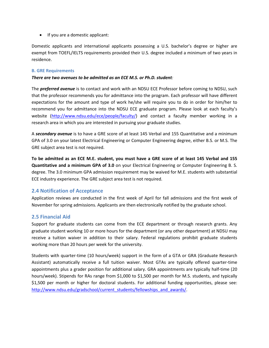• If you are a domestic applicant:

Domestic applicants and international applicants possessing a U.S. bachelor's degree or higher are exempt from TOEFL/IELTS requirements provided their U.S. degree included a minimum of two years in residence.

#### <span id="page-4-0"></span>**B. GRE Requirements**

#### *There are two avenues to be admitted as an ECE M.S. or Ph.D. student:*

The *preferred avenue* is to contact and work with an NDSU ECE Professor before coming to NDSU, such that the professor recommends you for admittance into the program. Each professor will have different expectations for the amount and type of work he/she will require you to do in order for him/her to recommend you for admittance into the NDSU ECE graduate program. Please look at each faculty's website [\(http://www.ndsu.edu/ece/people/faculty/\)](http://www.ndsu.edu/ece/people/faculty/) and contact a faculty member working in a research area in which you are interested in pursuing your graduate studies.

A *secondary avenue* is to have a GRE score of at least 145 Verbal and 155 Quantitative and a minimum GPA of 3.0 on your latest Electrical Engineering or Computer Engineering degree, either B.S. or M.S. The GRE subject area test is not required.

**To be admitted as an ECE M.E. student, you must have a GRE score of at least 145 Verbal and 155 Quantitative and a minimum GPA of 3.0** on your Electrical Engineering or Computer Engineering B. S. degree. The 3.0 minimum GPA admission requirement may be waived for M.E. students with substantial ECE industry experience. The GRE subject area test is not required.

## <span id="page-4-1"></span>**2.4 Notification of Acceptance**

Application reviews are conducted in the first week of April for fall admissions and the first week of November for spring admissions. Applicants are then electronically notified by the graduate school.

### <span id="page-4-2"></span>**2.5 Financial Aid**

Support for graduate students can come from the ECE department or through research grants. Any graduate student working 10 or more hours for the department (or any other department) at NDSU may receive a tuition waiver in addition to their salary. Federal regulations prohibit graduate students working more than 20 hours per week for the university.

Students with quarter-time (10 hours/week) support in the form of a GTA or GRA (Graduate Research Assistant) automatically receive a full tuition waiver. Most GTAs are typically offered quarter-time appointments plus a grader position for additional salary. GRA appointments are typically half-time (20 hours/week). Stipends for RAs range from \$1,000 to \$1,500 per month for M.S. students, and typically \$1,500 per month or higher for doctoral students. For additional funding opportunities, please see: [http://www.ndsu.edu/gradschool/current\\_students/fellowships\\_and\\_awards/.](http://www.ndsu.edu/gradschool/current_students/fellowships_and_awards/)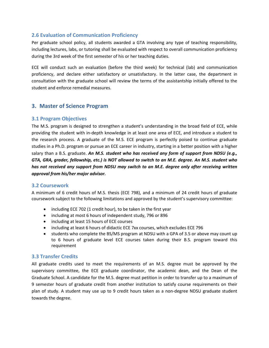## <span id="page-5-0"></span>**2.6 Evaluation of Communication Proficiency**

Per graduate school policy, all students awarded a GTA involving any type of teaching responsibility, including lectures, labs, or tutoring shall be evaluated with respect to overall communication proficiency during the 3rd week of the first semester of his or her teaching duties.

ECE will conduct such an evaluation (before the third week) for technical (lab) and communication proficiency, and declare either satisfactory or unsatisfactory. In the latter case, the department in consultation with the graduate school will review the terms of the assistantship initially offered to the student and enforce remedial measures.

## <span id="page-5-1"></span>**3. Master of Science Program**

## <span id="page-5-2"></span>**3.1 Program Objectives**

The M.S. program is designed to strengthen a student's understanding in the broad field of ECE, while providing the student with in-depth knowledge in at least one area of ECE, and introduce a student to the research process. A graduate of the M.S. ECE program is perfectly poised to continue graduate studies in a Ph.D. program or pursue an ECE career in industry, starting in a better position with a higher salary than a B.S. graduate. *An M.S. student who has received any form of support from NDSU (e.g., GTA, GRA, grader, fellowship, etc.) is NOT allowed to switch to an M.E. degree. An M.S. student who has not received any support from NDSU may switch to an M.E. degree only after receiving written approval from his/her major advisor.*

### <span id="page-5-3"></span>**3.2 Coursework**

A minimum of 6 credit hours of M.S. thesis (ECE 798), and a minimum of 24 credit hours of graduate coursework subject to the following limitations and approved by the student's supervisory committee:

- including ECE 702 (1 credit hour), to be taken in the first year
- including at most 6 hours of independent study, 796 or 896
- including at least 15 hours of ECE courses
- including at least 6 hours of didactic ECE 7xx courses, which excludes ECE 796
- students who complete the BS/MS program at NDSU with a GPA of 3.5 or above may count up to 6 hours of graduate level ECE courses taken during their B.S. program toward this requirement

### <span id="page-5-4"></span>**3.3 Transfer Credits**

All graduate credits used to meet the requirements of an M.S. degree must be approved by the supervisory committee, the ECE graduate coordinator, the academic dean, and the Dean of the Graduate School. A candidate for the M.S. degree must petition in order to transfer up to a maximum of 9 semester hours of graduate credit from another institution to satisfy course requirements on their plan of study. A student may use up to 9 credit hours taken as a non-degree NDSU graduate student towards the degree.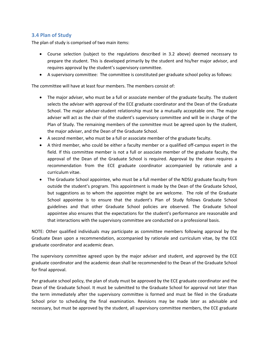## <span id="page-6-0"></span>**3.4 Plan of Study**

The plan of study is comprised of two main items:

- Course selection (subject to the regulations described in 3.2 above) deemed necessary to prepare the student. This is developed primarily by the student and his/her major advisor, and requires approval by the student's supervisory committee.
- A supervisory committee: The committee is constituted per graduate school policy as follows:

The committee will have at least four members. The members consist of:

- The major adviser, who must be a full or associate member of the graduate faculty. The student selects the adviser with approval of the ECE graduate coordinator and the Dean of the Graduate School. The major adviser-student relationship must be a mutually acceptable one. The major adviser will act as the chair of the student's supervisory committee and will be in charge of the Plan of Study. The remaining members of the committee must be agreed upon by the student, the major adviser, and the Dean of the Graduate School.
- A second member, who must be a full or associate member of the graduate faculty.
- A third member, who could be either a faculty member or a qualified off-campus expert in the field. If this committee member is not a full or associate member of the graduate faculty, the approval of the Dean of the Graduate School is required. Approval by the dean requires a recommendation from the ECE graduate coordinator accompanied by rationale and a curriculum vitae.
- The Graduate School appointee, who must be a full member of the NDSU graduate faculty from outside the student's program. This appointment is made by the Dean of the Graduate School, but suggestions as to whom the appointee might be are welcome. The role of the Graduate School appointee is to ensure that the student's Plan of Study follows Graduate School guidelines and that other Graduate School policies are observed. The Graduate School appointee also ensures that the expectations for the student's performance are reasonable and that interactions with the supervisory committee are conducted on a professional basis.

NOTE: Other qualified individuals may participate as committee members following approval by the Graduate Dean upon a recommendation, accompanied by rationale and curriculum vitae, by the ECE graduate coordinator and academic dean.

The supervisory committee agreed upon by the major adviser and student, and approved by the ECE graduate coordinator and the academic dean shall be recommended to the Dean of the Graduate School for final approval.

Per graduate school policy, the plan of study must be approved by the ECE graduate coordinator and the Dean of the Graduate School. It must be submitted to the Graduate School for approval not later than the term immediately after the supervisory committee is formed and must be filed in the Graduate School prior to scheduling the final examination. Revisions may be made later as advisable and necessary, but must be approved by the student, all supervisory committee members, the ECE graduate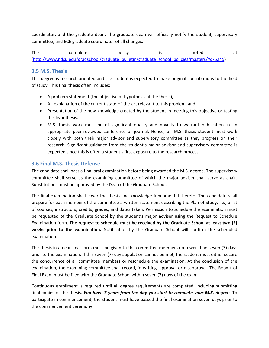coordinator, and the graduate dean. The graduate dean will officially notify the student, supervisory committee, and ECE graduate coordinator of all changes.

The complete policy is noted at [\(http://www.ndsu.edu/gradschool/graduate\\_bulletin/graduate\\_school\\_policies/masters/#c75245\)](http://www.ndsu.edu/gradschool/graduate_bulletin/graduate_school_policies/masters/%23c75245)

## <span id="page-7-0"></span>**3.5 M.S. Thesis**

This degree is research oriented and the student is expected to make original contributions to the field of study. This final thesis often includes:

- A problem statement (the objective or hypothesis of the thesis),
- An explanation of the current state-of-the-art relevant to this problem, and
- Presentation of the new knowledge created by the student in meeting this objective or testing this hypothesis.
- M.S. thesis work must be of significant quality and novelty to warrant publication in an appropriate peer-reviewed conference or journal. Hence, an M.S. thesis student must work closely with both their major advisor and supervisory committee as they progress on their research. Significant guidance from the student's major advisor and supervisory committee is expected since this is often a student's first exposure to the research process.

## <span id="page-7-1"></span>**3.6 Final M.S. Thesis Defense**

The candidate shall pass a final oral examination before being awarded the M.S. degree. The supervisory committee shall serve as the examining committee of which the major adviser shall serve as chair. Substitutions must be approved by the Dean of the Graduate School.

The final examination shall cover the thesis and knowledge fundamental thereto. The candidate shall prepare for each member of the committee a written statement describing the Plan of Study, i.e., a list of courses, instructors, credits, grades, and dates taken. Permission to schedule the examination must be requested of the Graduate School by the student's major adviser using the Request to Schedule Examination form. **The request to schedule must be received by the Graduate School at least two (2) weeks prior to the examination.** Notification by the Graduate School will confirm the scheduled examination.

The thesis in a near final form must be given to the committee members no fewer than seven (7) days prior to the examination. If this seven (7) day stipulation cannot be met, the student must either secure the concurrence of all committee members or reschedule the examination. At the conclusion of the examination, the examining committee shall record, in writing, approval or disapproval. The Report of Final Exam must be filed with the Graduate School within seven (7) days of the exam.

Continuous enrollment is required until all degree requirements are completed, including submitting final copies of the thesis. *You have 7 years from the day you start to complete your M.S. degree.* To participate in commencement, the student must have passed the final examination seven days prior to the commencement ceremony.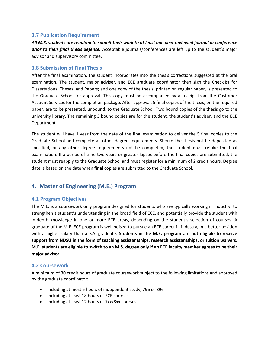#### <span id="page-8-0"></span>**3.7 Publication Requirement**

*All M.S. students are required to submit their work to at least one peer reviewed journal or conference prior to their final thesis defense.* Acceptable journals/conferences are left up to the student's major advisor and supervisory committee.

#### <span id="page-8-1"></span>**3.8 Submission of Final Thesis**

After the final examination, the student incorporates into the thesis corrections suggested at the oral examination. The student, major adviser, and ECE graduate coordinator then sign the Checklist for Dissertations, Theses, and Papers; and one copy of the thesis, printed on regular paper, is presented to the Graduate School for approval. This copy must be accompanied by a receipt from the Customer Account Services for the completion package. After approval, 5 final copies of the thesis, on the required paper, are to be presented, unbound, to the Graduate School. Two bound copies of the thesis go to the university library. The remaining 3 bound copies are for the student, the student's adviser, and the ECE Department.

The student will have 1 year from the date of the final examination to deliver the 5 final copies to the Graduate School and complete all other degree requirements. Should the thesis not be deposited as specified, or any other degree requirements not be completed, the student must retake the final examination. If a period of time two years or greater lapses before the final copies are submitted, the student must reapply to the Graduate School and must register for a minimum of 2 credit hours. Degree date is based on the date when **final** copies are submitted to the Graduate School.

## <span id="page-8-2"></span>**4. Master of Engineering (M.E.) Program**

### <span id="page-8-3"></span>**4.1 Program Objectives**

The M.E. is a coursework only program designed for students who are typically working in industry, to strengthen a student's understanding in the broad field of ECE, and potentially provide the student with in-depth knowledge in one or more ECE areas, depending on the student's selection of courses. A graduate of the M.E. ECE program is well poised to pursue an ECE career in industry, in a better position with a higher salary than a B.S. graduate. **Students in the M.E. program are not eligible to receive support from NDSU in the form of teaching assistantships, research assistantships, or tuition waivers. M.E. students are eligible to switch to an M.S. degree only if an ECE faculty member agrees to be their major advisor.**

### <span id="page-8-4"></span>**4.2 Coursework**

A minimum of 30 credit hours of graduate coursework subject to the following limitations and approved by the graduate coordinator:

- including at most 6 hours of independent study, 796 or 896
- including at least 18 hours of ECE courses
- including at least 12 hours of 7xx/8xx courses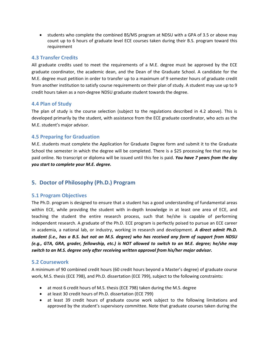• students who complete the combined BS/MS program at NDSU with a GPA of 3.5 or above may count up to 6 hours of graduate level ECE courses taken during their B.S. program toward this requirement

## <span id="page-9-0"></span>**4.3 Transfer Credits**

All graduate credits used to meet the requirements of a M.E. degree must be approved by the ECE graduate coordinator, the academic dean, and the Dean of the Graduate School. A candidate for the M.E. degree must petition in order to transfer up to a maximum of 9 semester hours of graduate credit from another institution to satisfy course requirements on their plan of study. A student may use up to 9 credit hours taken as a non-degree NDSU graduate student towards the degree.

## <span id="page-9-1"></span>**4.4 Plan of Study**

The plan of study is the course selection (subject to the regulations described in 4.2 above). This is developed primarily by the student, with assistance from the ECE graduate coordinator, who acts as the M.E. student's major advisor.

## <span id="page-9-2"></span>**4.5 Preparing for Graduation**

M.E. students must complete the Application for Graduate Degree form and submit it to the Graduate School the semester in which the degree will be completed. There is a \$25 processing fee that may be paid online. No transcript or diploma will be issued until this fee is paid. *You have 7 years from the day you start to complete your M.E. degree.*

## <span id="page-9-3"></span>**5. Doctor of Philosophy (Ph.D.) Program**

### <span id="page-9-4"></span>**5.1 Program Objectives**

The Ph.D. program is designed to ensure that a student has a good understanding of fundamental areas within ECE, while providing the student with in-depth knowledge in at least one area of ECE, and teaching the student the entire research process, such that he/she is capable of performing independent research. A graduate of the Ph.D. ECE program is perfectly poised to pursue an ECE career in academia, a national lab, or industry, working in research and development. *A direct admit Ph.D. student (i.e., has a B.S. but not an M.S. degree) who has received any form of support from NDSU (e.g., GTA, GRA, grader, fellowship, etc.) is NOT allowed to switch to an M.E. degree; he/she may switch to an M.S. degree only after receiving written approval from his/her major advisor.*

### <span id="page-9-5"></span>**5.2 Coursework**

A minimum of 90 combined credit hours (60 credit hours beyond a Master's degree) of graduate course work, M.S. thesis (ECE 798), and Ph.D. dissertation (ECE 799), subject to the following constraints:

- at most 6 credit hours of M.S. thesis (ECE 798) taken during the M.S. degree
- at least 30 credit hours of Ph.D. dissertation (ECE 799)
- at least 39 credit hours of graduate course work subject to the following limitations and approved by the student's supervisory committee. Note that graduate courses taken during the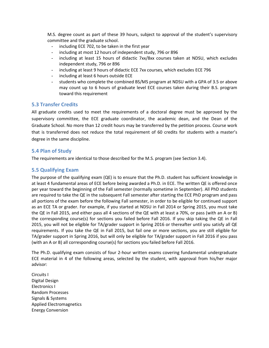M.S. degree count as part of these 39 hours, subject to approval of the student's supervisory committee and the graduate school.

- including ECE 702, to be taken in the first year
- including at most 12 hours of independent study, 796 or 896
- including at least 15 hours of didactic 7xx/8xx courses taken at NDSU, which excludes independent study, 796 or 896
- including at least 9 hours of didactic ECE 7xx courses, which excludes ECE 796
- including at least 6 hours outside ECE
- students who complete the combined BS/MS program at NDSU with a GPA of 3.5 or above may count up to 6 hours of graduate level ECE courses taken during their B.S. program toward this requirement

### <span id="page-10-0"></span>**5.3 Transfer Credits**

All graduate credits used to meet the requirements of a doctoral degree must be approved by the supervisory committee, the ECE graduate coordinator, the academic dean, and the Dean of the Graduate School. No more than 12 credit hours may be transferred by the petition process. Course work that is transferred does not reduce the total requirement of 60 credits for students with a master's degree in the same discipline.

#### <span id="page-10-1"></span>**5.4 Plan of Study**

The requirements are identical to those described for the M.S. program (see Section 3.4).

#### <span id="page-10-2"></span>**5.5 Qualifying Exam**

The purpose of the qualifying exam (QE) is to ensure that the Ph.D. student has sufficient knowledge in at least 4 fundamental areas of ECE before being awarded a Ph.D. in ECE. The written QE is offered once per year toward the beginning of the Fall semester (normally sometime in September). All PhD students are required to take the QE in the subsequent Fall semester after starting the ECE PhD program and pass all portions of the exam before the following Fall semester, in order to be eligible for continued support as an ECE TA or grader. For example, if you started at NDSU in Fall 2014 or Spring 2015, you must take the QE in Fall 2015, and either pass all 4 sections of the QE with at least a 70%, or pass (with an A or B) the corresponding course(s) for sections you failed before Fall 2016. If you skip taking the QE in Fall 2015, you will not be eligible for TA/grader support in Spring 2016 or thereafter until you satisfy all QE requirements. If you take the QE in Fall 2015, but fail one or more sections, you are still eligible for TA/grader support in Spring 2016, but will only be eligible for TA/grader support in Fall 2016 if you pass (with an A or B) all corresponding course(s) for sections you failed before Fall 2016.

The Ph.D. qualifying exam consists of four 2-hour written exams covering fundamental undergraduate ECE material in 4 of the following areas, selected by the student, with approval from his/her major advisor:

Circuits I Digital Design Electronics I Random Processes Signals & Systems Applied Electromagnetics Energy Conversion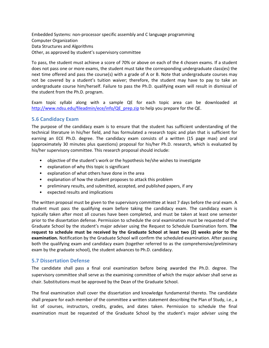Embedded Systems: non-processor specific assembly and C language programming Computer Organization Data Structures and Algorithms Other, as approved by student's supervisory committee

To pass, the student must achieve a score of 70% or above on each of the 4 chosen exams. If a student does not pass one or more exams, the student must take the corresponding undergraduate class(es) the next time offered and pass the course(s) with a grade of A or B. Note that undergraduate courses may not be covered by a student's tuition waiver; therefore, the student may have to pay to take an undergraduate course him/herself. Failure to pass the Ph.D. qualifying exam will result in dismissal of the student from the Ph.D. program.

Exam topic syllabi along with a sample QE for each topic area can be downloaded at [http://www.ndsu.edu/fileadmin/ece/info/QE\\_prep.zip](http://www.ndsu.edu/fileadmin/ece/info/QE_prep.zip) to help you prepare for the QE.

## <span id="page-11-0"></span>**5.6 Candidacy Exam**

The purpose of the candidacy exam is to ensure that the student has sufficient understanding of the technical literature in his/her field, and has formulated a research topic and plan that is sufficient for earning an ECE Ph.D. degree. The candidacy exam consists of a written (15 page max) and oral (approximately 30 minutes plus questions) proposal for his/her Ph.D. research, which is evaluated by his/her supervisory committee. This research proposal should include:

- objective of the student's work or the hypothesis he/she wishes to investigate
- explanation of why this topic is significant
- explanation of what others have done in the area
- explanation of how the student proposes to attack this problem
- preliminary results, and submitted, accepted, and published papers, if any
- expected results and implications

The written proposal must be given to the supervisory committee at least 7 days before the oral exam. A student must pass the qualifying exam before taking the candidacy exam. The candidacy exam is typically taken after most all courses have been completed, and must be taken at least one semester prior to the dissertation defense. Permission to schedule the oral examination must be requested of the Graduate School by the student's major adviser using the Request to Schedule Examination form. **The request to schedule must be received by the Graduate School at least two (2) weeks prior to the examination.** Notification by the Graduate School will confirm the scheduled examination. After passing both the qualifying exam and candidacy exam (together referred to as the comprehensive/preliminary exam by the graduate school), the student advances to Ph.D. candidacy.

### <span id="page-11-1"></span>**5.7 Dissertation Defense**

The candidate shall pass a final oral examination before being awarded the Ph.D. degree. The supervisory committee shall serve as the examining committee of which the major adviser shall serve as chair. Substitutions must be approved by the Dean of the Graduate School.

The final examination shall cover the dissertation and knowledge fundamental thereto. The candidate shall prepare for each member of the committee a written statement describing the Plan of Study, i.e., a list of courses, instructors, credits, grades, and dates taken. Permission to schedule the final examination must be requested of the Graduate School by the student's major adviser using the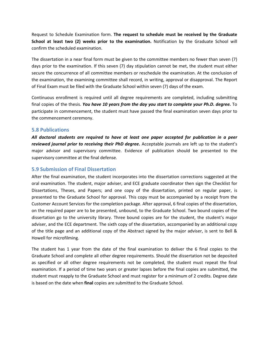Request to Schedule Examination form. **The request to schedule must be received by the Graduate School at least two (2) weeks prior to the examination.** Notification by the Graduate School will confirm the scheduled examination.

The dissertation in a near final form must be given to the committee members no fewer than seven (7) days prior to the examination. If this seven (7) day stipulation cannot be met, the student must either secure the concurrence of all committee members or reschedule the examination. At the conclusion of the examination, the examining committee shall record, in writing, approval or disapproval. The Report of Final Exam must be filed with the Graduate School within seven (7) days of the exam.

Continuous enrollment is required until all degree requirements are completed, including submitting final copies of the thesis. *You have 10 years from the day you start to complete your Ph.D. degree.* To participate in commencement, the student must have passed the final examination seven days prior to the commencement ceremony.

#### <span id="page-12-0"></span>**5.8 Publications**

*All doctoral students are required to have at least one paper accepted for publication in a peer reviewed journal prior to receiving their PhD degree***.** Acceptable journals are left up to the student's major advisor and supervisory committee. Evidence of publication should be presented to the supervisory committee at the final defense.

## <span id="page-12-1"></span>**5.9 Submission of Final Dissertation**

After the final examination, the student incorporates into the dissertation corrections suggested at the oral examination. The student, major adviser, and ECE graduate coordinator then sign the Checklist for Dissertations, Theses, and Papers; and one copy of the dissertation, printed on regular paper, is presented to the Graduate School for approval. This copy must be accompanied by a receipt from the Customer Account Services for the completion package. After approval, 6 final copies of the dissertation, on the required paper are to be presented, unbound, to the Graduate School. Two bound copies of the dissertation go to the university library. Three bound copies are for the student, the student's major adviser, and the ECE department. The sixth copy of the dissertation, accompanied by an additional copy of the title page and an additional copy of the Abstract signed by the major adviser, is sent to Bell & Howell for microfilming.

The student has 1 year from the date of the final examination to deliver the 6 final copies to the Graduate School and complete all other degree requirements. Should the dissertation not be deposited as specified or all other degree requirements not be completed, the student must repeat the final examination. If a period of time two years or greater lapses before the final copies are submitted, the student must reapply to the Graduate School and must register for a minimum of 2 credits. Degree date is based on the date when **final** copies are submitted to the Graduate School.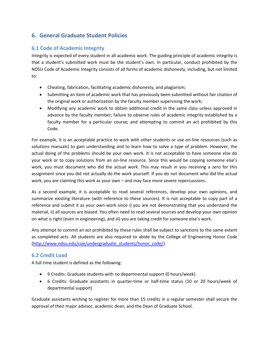## <span id="page-13-0"></span>**6. General Graduate Student Policies**

## <span id="page-13-1"></span>**6.1 Code of Academic Integrity**

Integrity is expected of every student in all academic work. The guiding principle of academic integrity is that a student's submitted work must be the student's own. In particular, conduct prohibited by the NDSU Code of Academic Integrity consists of all forms of academic dishonesty, including, but not limited to:

- Cheating, fabrication, facilitating academic dishonesty, and plagiarism;
- Submitting an item of academic work that has previously been submitted without fair citation of the original work or authorization by the faculty member supervising the work;
- Modifying any academic work to obtain additional credit in the same class unless approved in advance by the faculty member; failure to observe rules of academic integrity established by a faculty member for a particular course; and attempting to commit an act prohibited by this Code.

For example, it is an acceptable practice to work with other students or use on-line resources (such as solutions manuals) to gain understanding and to learn how to solve a type of problem. However, the actual doing of the problems should be your own work. It is not acceptable to have someone else do your work or to copy solutions from an on-line resource. Since this would be copying someone else's work, you must document who did the actual work. This may result in you receiving a zero for this assignment since you did not actually do the work yourself. If you do not document who did the actual work, you are claiming this work as your own – and may face more severe repercussions.

As a second example, it is acceptable to read several references, develop your own opinions, and summarize existing literature (with reference to these sources). It is not acceptable to copy part of a reference and submit it as your own work since i) you are not demonstrating that you understand the material, ii) all sources are biased. You often need to read several sources and develop your own opinion on what is right (even in engineering), and iii) you are taking credit for someone else's work.

Any attempt to commit an act prohibited by these rules shall be subject to sanctions to the same extent as completed acts. All students are also required to abide by the College of Engineering Honor Code [\(http://www.ndsu.edu/coe/undergraduate\\_students/honor\\_code/\)](http://www.ndsu.edu/coe/undergraduate_students/honor_code/).

## <span id="page-13-2"></span>**6.2 Credit Load**

A full time student is defined as the following:

- 9 Credits: Graduate students with no departmental support (0 hours/week)
- 6 Credits: Graduate assistants in quarter-time or half-time status (10 or 20 hours/week of departmental support)

Graduate assistants wishing to register for more than 15 credits in a regular semester shall secure the approval of their major advisor, academic dean, and the Dean of Graduate School.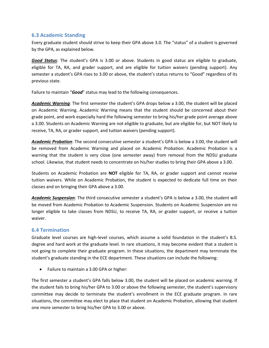## <span id="page-14-0"></span>**6.3 Academic Standing**

Every graduate student should strive to keep their GPA above 3.0. The "status" of a student is governed by the GPA, as explained below.

*Good Status*: The student's GPA is 3.00 or above. Students in good status are eligible to graduate, eligible for TA, RA, and grader support, and are eligible for tuition waivers (pending support). Any semester a student's GPA rises to 3.00 or above, the student's status returns to "Good" regardless of its previous state.

Failure to maintain "*Good*" status may lead to the following consequences.

*Academic Warning*: The first semester the student's GPA drops below a 3.00, the student will be placed on Academic Warning. Academic Warning means that the student should be concerned about their grade point, and work especially hard the following semester to bring his/her grade point average above a 3.00. Students on Academic Warning are not eligible to graduate, but are eligible for, but NOT likely to receive, TA, RA, or grader support, and tuition waivers (pending support).

*Academic Probation*: The second consecutive semester a student's GPA is below a 3.00, the student will be removed from Academic Warning and placed on Academic Probation. Academic Probation is a warning that the student is very close (one semester away) from removal from the NDSU graduate school. Likewise, that student needs to concentrate on his/her studies to bring their GPA above a 3.00.

Students on Academic Probation are **NOT** eligible for TA, RA, or grader support and cannot receive tuition waivers. While on Academic Probation, the student is expected to dedicate full time on their classes and on bringing their GPA above a 3.00.

*Academic Suspension*: The third consecutive semester a student's GPA is below a 3.00, the student will be moved from Academic Probation to Academic Suspension. Students on Academic Suspension are no longer eligible to take classes from NDSU, to receive TA, RA, or grader support, or receive a tuition waiver.

## <span id="page-14-1"></span>**6.4 Termination**

Graduate level courses are high-level courses, which assume a solid foundation in the student's B.S. degree and hard work at the graduate level. In rare situations, it may become evident that a student is not going to complete their graduate program. In these situations, the department may terminate the student's graduate standing in the ECE department. These situations can include the following:

• Failure to maintain a 3.00 GPA or higher:

The first semester a student's GPA falls below 3.00, the student will be placed on academic warning. If the student fails to bring his/her GPA to 3.00 or above the following semester, the student's supervisory committee may decide to terminate the student's enrollment in the ECE graduate program. In rare situations, the committee may elect to place that student on Academic Probation, allowing that student one more semester to bring his/her GPA to 3.00 or above.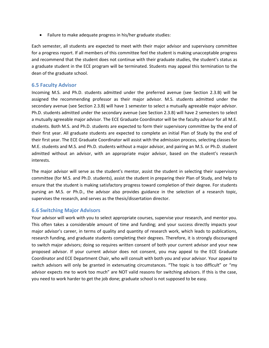• Failure to make adequate progress in his/her graduate studies:

Each semester, all students are expected to meet with their major advisor and supervisory committee for a progress report. If all members of this committee feel the student is making unacceptable progress and recommend that the student does not continue with their graduate studies, the student's status as a graduate student in the ECE program will be terminated. Students may appeal this termination to the dean of the graduate school.

### <span id="page-15-0"></span>**6.5 Faculty Advisor**

Incoming M.S. and Ph.D. students admitted under the preferred avenue (see Section 2.3.B) will be assigned the recommending professor as their major advisor. M.S. students admitted under the secondary avenue (see Section 2.3.B) will have 1 semester to select a mutually agreeable major advisor. Ph.D. students admitted under the secondary avenue (see Section 2.3.B) will have 2 semesters to select a mutually agreeable major advisor. The ECE Graduate Coordinator will be the faculty advisor for all M.E. students. Both M.S. and Ph.D. students are expected to form their supervisory committee by the end of their first year. All graduate students are expected to complete an initial Plan of Study by the end of their first year. The ECE Graduate Coordinator will assist with the admission process, selecting classes for M.E. students and M.S. and Ph.D. students without a major advisor, and pairing an M.S. or Ph.D. student admitted without an advisor, with an appropriate major advisor, based on the student's research interests.

The major advisor will serve as the student's mentor, assist the student in selecting their supervisory committee (for M.S. and Ph.D. students), assist the student in preparing their Plan of Study, and help to ensure that the student is making satisfactory progress toward completion of their degree. For students pursing an M.S. or Ph.D., the advisor also provides guidance in the selection of a research topic, supervises the research, and serves as the thesis/dissertation director.

### <span id="page-15-1"></span>**6.6 Switching Major Advisors**

<span id="page-15-2"></span>Your advisor will work with you to select appropriate courses, supervise your research, and mentor you. This often takes a considerable amount of time and funding; and your success directly impacts your major advisor's career, in terms of quality and quantity of research work, which leads to publications, research funding, and graduate students completing their degrees. Therefore, it is strongly discouraged to switch major advisors; doing so requires written consent of both your current advisor and your new proposed advisor. If your current advisor does not consent, you may appeal to the ECE Graduate Coordinator and ECE Department Chair, who will consult with both you and your advisor. Your appeal to switch advisors will only be granted in extenuating circumstances. "The topic is too difficult" or "my advisor expects me to work too much" are NOT valid reasons for switching advisors. If this is the case, you need to work harder to get the job done; graduate school is not supposed to be easy.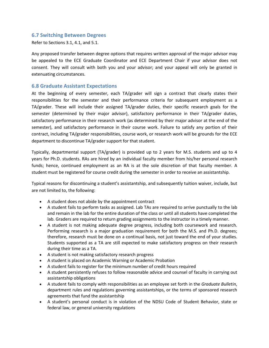### **6.7 Switching Between Degrees**

Refer to Sections 3.1, 4.1, and 5.1.

Any proposed transfer between degree options that requires written approval of the major advisor may be appealed to the ECE Graduate Coordinator and ECE Department Chair if your advisor does not consent. They will consult with both you and your advisor; and your appeal will only be granted in extenuating circumstances.

#### <span id="page-16-0"></span>**6.8 Graduate Assistant Expectations**

At the beginning of every semester, each TA/grader will sign a contract that clearly states their responsibilities for the semester and their performance criteria for subsequent employment as a TA/grader. These will include their assigned TA/grader duties, their specific research goals for the semester (determined by their major advisor), satisfactory performance in their TA/grader duties, satisfactory performance in their research work (as determined by their major advisor at the end of the semester), and satisfactory performance in their course work. Failure to satisfy any portion of their contract, including TA/grader responsibilities, course work, or research work will be grounds for the ECE department to discontinue TA/grader support for that student.

Typically, departmental support (TA/grader) is provided up to 2 years for M.S. students and up to 4 years for Ph.D. students. RAs are hired by an individual faculty member from his/her personal research funds; hence, continued employment as an RA is at the sole discretion of that faculty member. A student must be registered for course credit during the semester in order to receive an assistantship.

Typical reasons for discontinuing a student's assistantship, and subsequently tuition waiver, include, but are not limited to, the following:

- A student does not abide by the appointment contract
- A student fails to perform tasks as assigned. Lab TAs are required to arrive punctually to the lab and remain in the lab for the entire duration of the class or until all students have completed the lab. Graders are required to return grading assignments to the instructor in a timely manner.
- A student is not making adequate degree progress, including both coursework and research. Performing research is a major graduation requirement for both the M.S. and Ph.D. degrees; therefore, research must be done on a continual basis, not just toward the end of your studies. Students supported as a TA are still expected to make satisfactory progress on their research during their time as a TA.
- A student is not making satisfactory research progress
- A student is placed on Academic Warning or Academic Probation
- A student fails to register for the minimum number of credit hours required
- A student persistently refuses to follow reasonable advice and counsel of faculty in carrying out assistantship obligations
- A student fails to comply with responsibilities as an employee set forth in the *Graduate Bulletin*, department rules and regulations governing assistantships, or the terms of sponsored research agreements that fund the assistantship
- A student's personal conduct is in violation of the NDSU Code of Student Behavior, state or federal law, or general university regulations